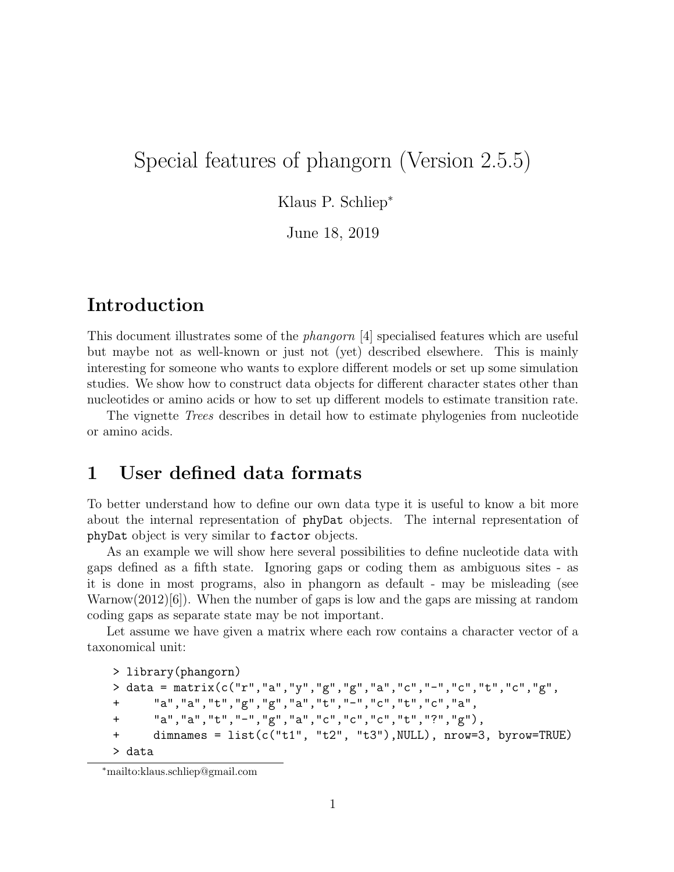# Special features of phangorn (Version 2.5.5)

Klaus P. Schliep<sup>∗</sup>

June 18, 2019

# Introduction

This document illustrates some of the *phangorn* [4] specialised features which are useful but maybe not as well-known or just not (yet) described elsewhere. This is mainly interesting for someone who wants to explore different models or set up some simulation studies. We show how to construct data objects for different character states other than nucleotides or amino acids or how to set up different models to estimate transition rate.

The vignette *Trees* describes in detail how to estimate phylogenies from nucleotide or amino acids.

## 1 User defined data formats

To better understand how to define our own data type it is useful to know a bit more about the internal representation of phyDat objects. The internal representation of phyDat object is very similar to factor objects.

As an example we will show here several possibilities to define nucleotide data with gaps defined as a fifth state. Ignoring gaps or coding them as ambiguous sites - as it is done in most programs, also in phangorn as default - may be misleading (see Warnow $(2012)[6]$ . When the number of gaps is low and the gaps are missing at random coding gaps as separate state may be not important.

Let assume we have given a matrix where each row contains a character vector of a taxonomical unit:

```
> library(phangorn)
> data = matrix(c("r", "a", "y", "g", "g", "a", "c", "f", "c", "t", "c", "g",+ "a","a","t","g","g","a","t","-","c","t","c","a",
+ "a","a","t","-","g","a","c","c","c","t","?","g"),
+ dimnames = list(c("t1", "t2", "t3"),NULL), nrow=3, byrow=TRUE)
> data
```
<sup>∗</sup>mailto:klaus.schliep@gmail.com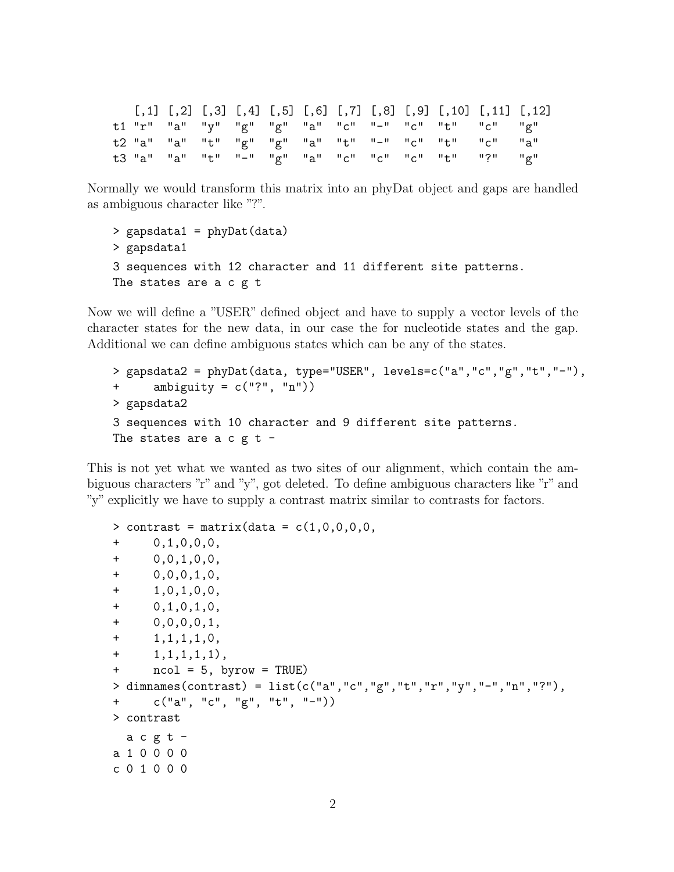|  |  |  |  |  | $[1,1]$ $[1,2]$ $[1,3]$ $[1,4]$ $[1,5]$ $[1,6]$ $[1,7]$ $[1,8]$ $[1,9]$ $[1,10]$ $[1,11]$ $[1,12]$ |  |
|--|--|--|--|--|----------------------------------------------------------------------------------------------------|--|
|  |  |  |  |  | t1 "r" "a" "y" "g" "g" "a" "c" "-" "c" "t" "c" "g"                                                 |  |
|  |  |  |  |  | t2 "a" "a" "t" "g" "g" "a" "t" "-" "c" "t" "c" "a"                                                 |  |
|  |  |  |  |  | t3 "a" "a" "t" "-" "g" "a" "c" "c" "c" "t" "?" "g"                                                 |  |

Normally we would transform this matrix into an phyDat object and gaps are handled as ambiguous character like "?".

```
> gapsdata1 = phyDat(data)
> gapsdata1
3 sequences with 12 character and 11 different site patterns.
The states are a c g t
```
Now we will define a "USER" defined object and have to supply a vector levels of the character states for the new data, in our case the for nucleotide states and the gap. Additional we can define ambiguous states which can be any of the states.

```
> gapsdata2 = phyDat(data, type="USER", levels=c("a","c","g","t","-"),
+ ambiguity = c("?", "n"))
> gapsdata2
3 sequences with 10 character and 9 different site patterns.
The states are a c g t -
```
This is not yet what we wanted as two sites of our alignment, which contain the ambiguous characters "r" and "y", got deleted. To define ambiguous characters like "r" and "y" explicitly we have to supply a contrast matrix similar to contrasts for factors.

```
> contrast = matrix(data = c(1,0,0,0,0,0)+ 0,1,0,0,0,
+ 0,0,1,0,0,
+ 0,0,0,1,0,
+ 1,0,1,0,0,
+ 0,1,0,1,0,
+ 0,0,0,0,1,
+ 1,1,1,1,0,
+ 1,1,1,1,1),
+ ncol = 5, byrow = TRUE)
> dimnames(contrast) = list(c("a","c","g","t","r","y","-","n","?"),
+ c("a", "c", "g", "t", "-"))
> contrast
 a c g t -a 1 0 0 0 0
c 0 1 0 0 0
```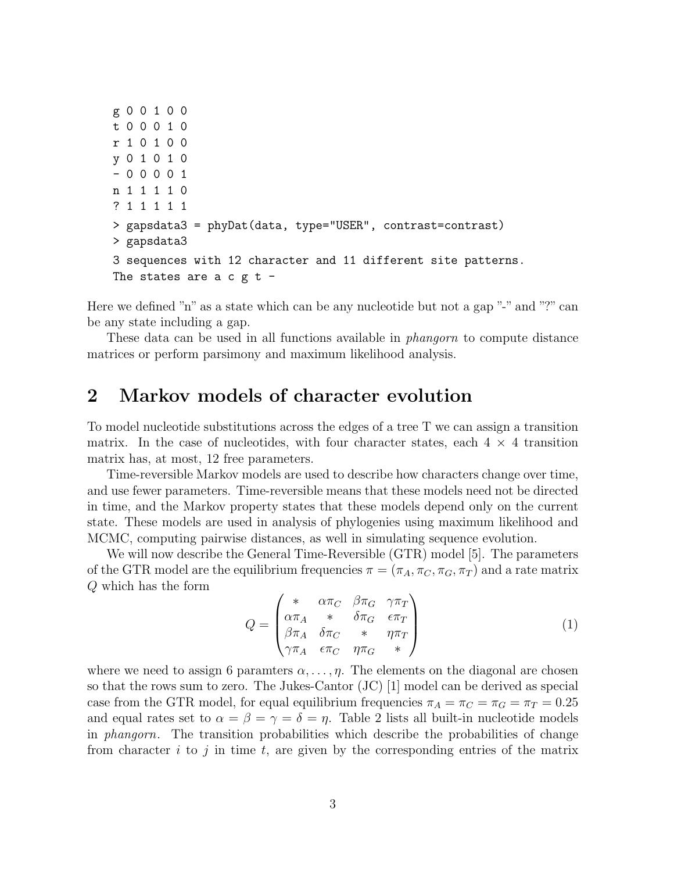```
g 0 0 1 0 0
t 0 0 0 1 0
r 1 0 1 0 0
y 0 1 0 1 0
- 0 0 0 0 1
n 1 1 1 1 0
? 1 1 1 1 1
> gapsdata3 = phyDat(data, type="USER", contrast=contrast)
> gapsdata3
3 sequences with 12 character and 11 different site patterns.
The states are a c g t -
```
Here we defined "n" as a state which can be any nucleotide but not a gap "-" and "?" can be any state including a gap.

These data can be used in all functions available in *phangorn* to compute distance matrices or perform parsimony and maximum likelihood analysis.

### 2 Markov models of character evolution

To model nucleotide substitutions across the edges of a tree T we can assign a transition matrix. In the case of nucleotides, with four character states, each  $4 \times 4$  transition matrix has, at most, 12 free parameters.

Time-reversible Markov models are used to describe how characters change over time, and use fewer parameters. Time-reversible means that these models need not be directed in time, and the Markov property states that these models depend only on the current state. These models are used in analysis of phylogenies using maximum likelihood and MCMC, computing pairwise distances, as well in simulating sequence evolution.

We will now describe the General Time-Reversible (GTR) model [5]. The parameters of the GTR model are the equilibrium frequencies  $\pi = (\pi_A, \pi_C, \pi_G, \pi_T)$  and a rate matrix Q which has the form

$$
Q = \begin{pmatrix} * & \alpha \pi_C & \beta \pi_G & \gamma \pi_T \\ \alpha \pi_A & * & \delta \pi_G & \epsilon \pi_T \\ \beta \pi_A & \delta \pi_C & * & \eta \pi_T \\ \gamma \pi_A & \epsilon \pi_C & \eta \pi_G & * \end{pmatrix} \tag{1}
$$

where we need to assign 6 paramters  $\alpha, \ldots, \eta$ . The elements on the diagonal are chosen so that the rows sum to zero. The Jukes-Cantor (JC) [1] model can be derived as special case from the GTR model, for equal equilibrium frequencies  $\pi_A = \pi_C = \pi_G = \pi_T = 0.25$ and equal rates set to  $\alpha = \beta = \gamma = \delta = \eta$ . Table 2 lists all built-in nucleotide models in *phangorn*. The transition probabilities which describe the probabilities of change from character  $i$  to  $j$  in time  $t$ , are given by the corresponding entries of the matrix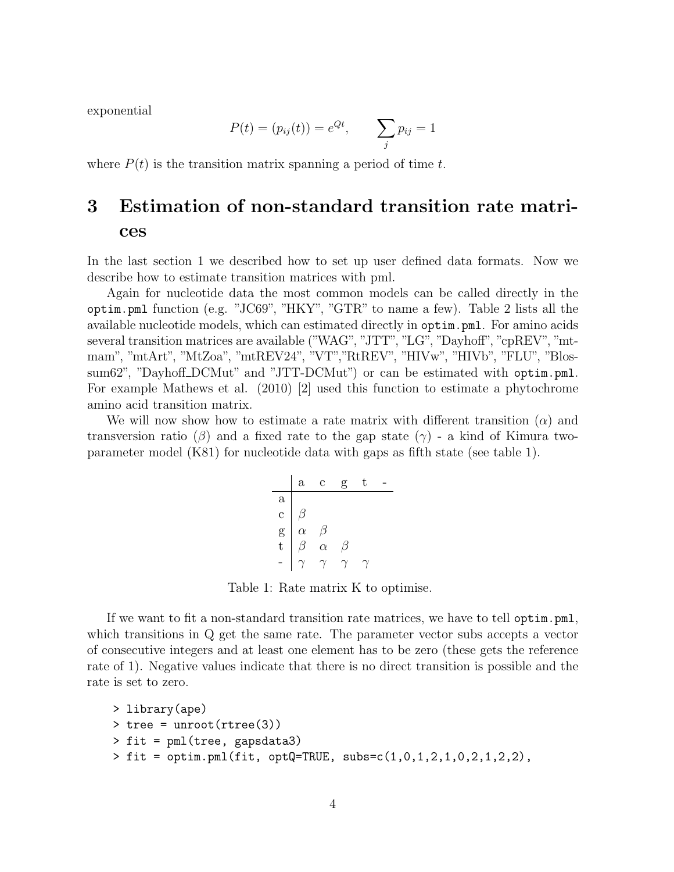exponential

$$
P(t) = (p_{ij}(t)) = e^{Qt}, \qquad \sum_j p_{ij} = 1
$$

where  $P(t)$  is the transition matrix spanning a period of time t.

# 3 Estimation of non-standard transition rate matrices

In the last section 1 we described how to set up user defined data formats. Now we describe how to estimate transition matrices with pml.

Again for nucleotide data the most common models can be called directly in the optim.pml function (e.g. "JC69", "HKY", "GTR" to name a few). Table 2 lists all the available nucleotide models, which can estimated directly in optim.pml. For amino acids several transition matrices are available ("WAG", "JTT", "LG", "Dayhoff", "cpREV", "mtmam", "mtArt", "MtZoa", "mtREV24", "VT","RtREV", "HIVw", "HIVb", "FLU", "Blossum62", "Dayhoff\_DCMut" and "JTT-DCMut") or can be estimated with optim.pml. For example Mathews et al. (2010) [2] used this function to estimate a phytochrome amino acid transition matrix.

We will now show how to estimate a rate matrix with different transition  $(\alpha)$  and transversion ratio ( $\beta$ ) and a fixed rate to the gap state ( $\gamma$ ) - a kind of Kimura twoparameter model (K81) for nucleotide data with gaps as fifth state (see table 1).

a c g t a c β g α β t β α β - γ γ γ γ

Table 1: Rate matrix K to optimise.

If we want to fit a non-standard transition rate matrices, we have to tell optim.pml, which transitions in Q get the same rate. The parameter vector subs accepts a vector of consecutive integers and at least one element has to be zero (these gets the reference rate of 1). Negative values indicate that there is no direct transition is possible and the rate is set to zero.

```
> library(ape)
> tree = unroot(rtree(3))
> fit = pml(tree, gapsdata3)
> fit = optim.pml(fit, optQ=TRUE, subs=c(1,0,1,2,1,0,2,1,2,2),
```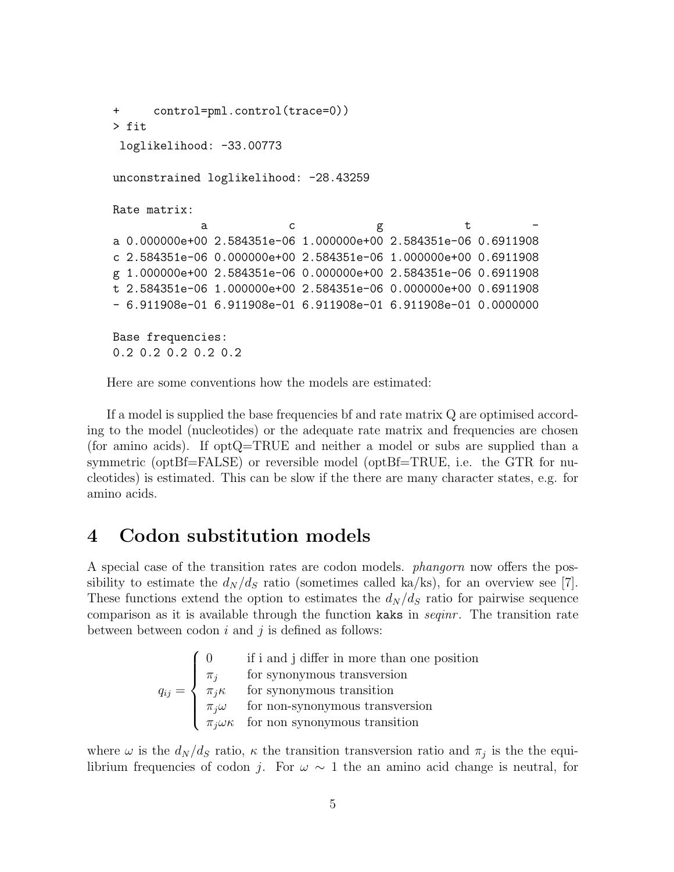```
+ control=pml.control(trace=0))
> fit
 loglikelihood: -33.00773
unconstrained loglikelihood: -28.43259
Rate matrix:
            a c g t -
a 0.000000e+00 2.584351e-06 1.000000e+00 2.584351e-06 0.6911908
c 2.584351e-06 0.000000e+00 2.584351e-06 1.000000e+00 0.6911908
g 1.000000e+00 2.584351e-06 0.000000e+00 2.584351e-06 0.6911908
t 2.584351e-06 1.000000e+00 2.584351e-06 0.000000e+00 0.6911908
- 6.911908e-01 6.911908e-01 6.911908e-01 6.911908e-01 0.0000000
Base frequencies:
0.2 0.2 0.2 0.2 0.2
```
Here are some conventions how the models are estimated:

If a model is supplied the base frequencies bf and rate matrix Q are optimised according to the model (nucleotides) or the adequate rate matrix and frequencies are chosen (for amino acids). If optQ=TRUE and neither a model or subs are supplied than a symmetric (optBf=FALSE) or reversible model (optBf=TRUE, i.e. the GTR for nucleotides) is estimated. This can be slow if the there are many character states, e.g. for amino acids.

#### 4 Codon substitution models

A special case of the transition rates are codon models. *phangorn* now offers the possibility to estimate the  $d_N/d_S$  ratio (sometimes called ka/ks), for an overview see [7]. These functions extend the option to estimates the  $d_N/d_S$  ratio for pairwise sequence comparison as it is available through the function kaks in *seqinr* . The transition rate between between codon  $i$  and  $j$  is defined as follows:

$$
q_{ij} = \begin{cases} 0 & \text{if i and j differ in more than one position} \\ \pi_j & \text{for synonymous transversion} \\ \pi_j \kappa & \text{for synonymous transition} \\ \pi_j \omega & \text{for non-synonymous transversion} \\ \pi_j \omega \kappa & \text{for non synonymous transition} \end{cases}
$$

where  $\omega$  is the  $d_N/d_S$  ratio,  $\kappa$  the transition transversion ratio and  $\pi_j$  is the the equilibrium frequencies of codon j. For  $\omega \sim 1$  the an amino acid change is neutral, for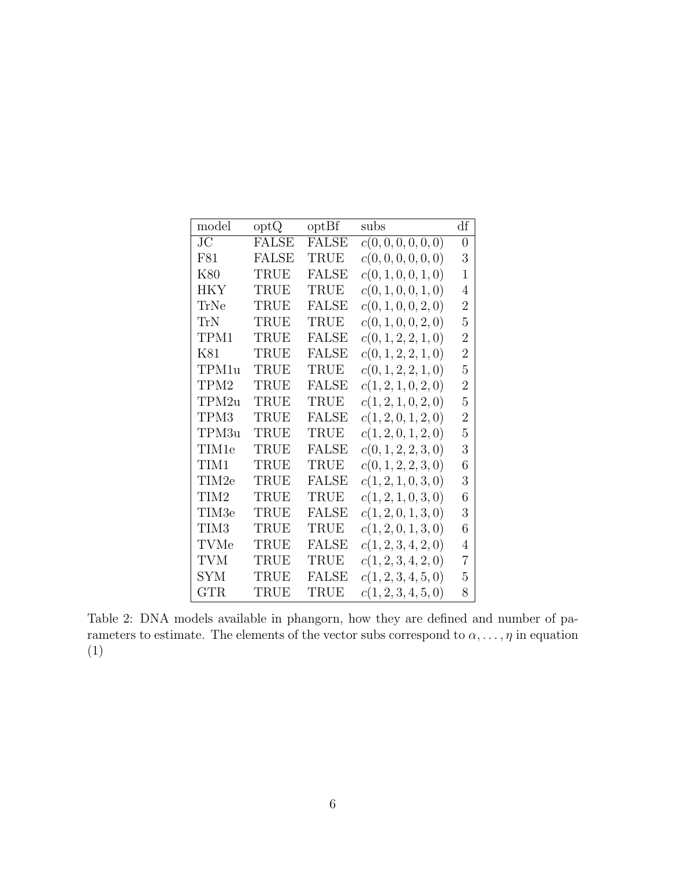| model      | optQ         | optBf        | subs                | df             |
|------------|--------------|--------------|---------------------|----------------|
| JC         | <b>FALSE</b> | <b>FALSE</b> | c(0,0,0,0,0,0)      | $\overline{0}$ |
| F81        | <b>FALSE</b> | TRUE         | c(0,0,0,0,0,0)      | 3              |
| K80        | TRUE         | <b>FALSE</b> | c(0, 1, 0, 0, 1, 0) | 1              |
| <b>HKY</b> | TRUE         | TRUE         | c(0, 1, 0, 0, 1, 0) | 4              |
| TrNe       | TRUE         | <b>FALSE</b> | c(0, 1, 0, 0, 2, 0) | $\overline{2}$ |
| TrN        | TRUE         | TRUE         | c(0, 1, 0, 0, 2, 0) | 5              |
| TPM1       | TRUE         | <b>FALSE</b> | c(0, 1, 2, 2, 1, 0) | $\overline{2}$ |
| K81        | TRUE         | FALSE        | c(0, 1, 2, 2, 1, 0) | $\overline{2}$ |
| TPM1u      | TRUE         | TRUE         | c(0, 1, 2, 2, 1, 0) | 5              |
| TPM2       | TRUE         | FALSE        | c(1, 2, 1, 0, 2, 0) | $\overline{2}$ |
| TPM2u      | TRUE         | TRUE         | c(1, 2, 1, 0, 2, 0) | 5              |
| TPM3       | TRUE         | <b>FALSE</b> | c(1, 2, 0, 1, 2, 0) | $\overline{2}$ |
| TPM3u      | TRUE         | TRUE         | c(1, 2, 0, 1, 2, 0) | 5              |
| TIM1e      | TRUE         | <b>FALSE</b> | c(0, 1, 2, 2, 3, 0) | 3              |
| TIM1       | TRUE         | TRUE         | c(0, 1, 2, 2, 3, 0) | 6              |
| TIM2e      | TRUE         | FALSE        | c(1, 2, 1, 0, 3, 0) | 3              |
| TIM2       | TRUE         | TRUE         | c(1, 2, 1, 0, 3, 0) | 6              |
| TIM3e      | TRUE         | FALSE        | c(1, 2, 0, 1, 3, 0) | 3              |
| TIM3       | TRUE         | TRUE         | c(1, 2, 0, 1, 3, 0) | 6              |
| TVMe       | TRUE         | <b>FALSE</b> | c(1, 2, 3, 4, 2, 0) | 4              |
| TVM        | TRUE         | TRUE         | c(1, 2, 3, 4, 2, 0) | $\overline{7}$ |
| <b>SYM</b> | TRUE         | <b>FALSE</b> | c(1, 2, 3, 4, 5, 0) | 5              |
| <b>GTR</b> | TRUE         | TRUE         | c(1, 2, 3, 4, 5, 0) | 8              |

Table 2: DNA models available in phangorn, how they are defined and number of parameters to estimate. The elements of the vector subs correspond to  $\alpha, \ldots, \eta$  in equation (1)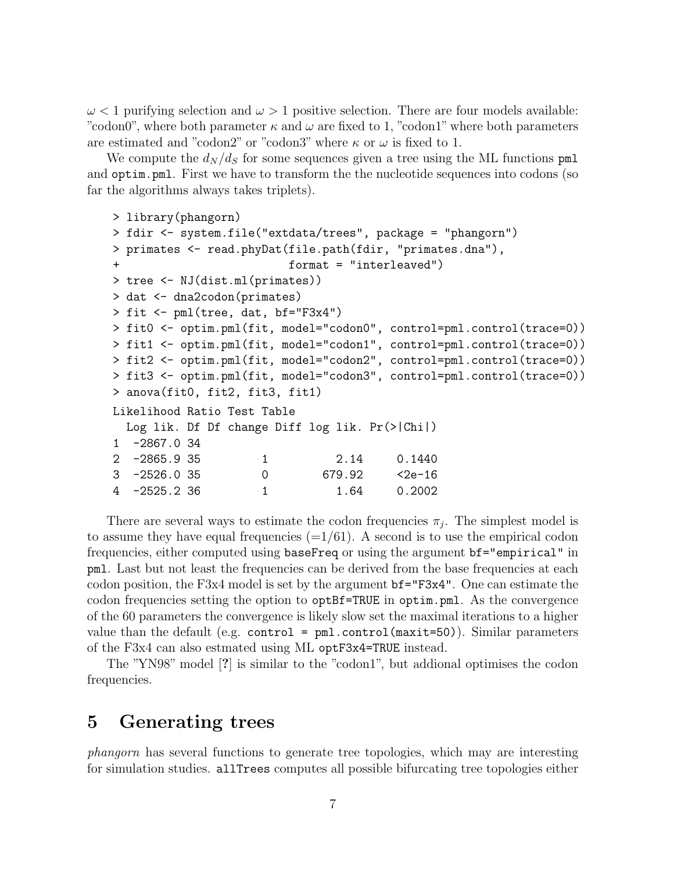$\omega$  < 1 purifying selection and  $\omega$  > 1 positive selection. There are four models available: "codon0", where both parameter  $\kappa$  and  $\omega$  are fixed to 1, "codon1" where both parameters are estimated and "codon2" or "codon3" where  $\kappa$  or  $\omega$  is fixed to 1.

We compute the  $d_N/d_S$  for some sequences given a tree using the ML functions pml and optim.pml. First we have to transform the the nucleotide sequences into codons (so far the algorithms always takes triplets).

```
> library(phangorn)
> fdir <- system.file("extdata/trees", package = "phangorn")
> primates <- read.phyDat(file.path(fdir, "primates.dna"),
+ format = "interleaved")
> tree <- NJ(dist.ml(primates))
> dat <- dna2codon(primates)
> fit <- pml(tree, dat, bf="F3x4")
> fit0 <- optim.pml(fit, model="codon0", control=pml.control(trace=0))
> fit1 <- optim.pml(fit, model="codon1", control=pml.control(trace=0))
> fit2 <- optim.pml(fit, model="codon2", control=pml.control(trace=0))
> fit3 <- optim.pml(fit, model="codon3", control=pml.control(trace=0))
> anova(fit0, fit2, fit3, fit1)
Likelihood Ratio Test Table
 Log lik. Df Df change Diff log lik. Pr(>|Chi|)
1 -2867.0 34
2 -2865.9 35 1 2.14 0.1440
3 -2526.0 35 0 679.92 <2e-16
4 -2525.2 36 1 1.64 0.2002
```
There are several ways to estimate the codon frequencies  $\pi_j$ . The simplest model is to assume they have equal frequencies  $(=1/61)$ . A second is to use the empirical codon frequencies, either computed using baseFreq or using the argument bf="empirical" in pml. Last but not least the frequencies can be derived from the base frequencies at each codon position, the F3x4 model is set by the argument bf="F3x4". One can estimate the codon frequencies setting the option to optBf=TRUE in optim.pml. As the convergence of the 60 parameters the convergence is likely slow set the maximal iterations to a higher value than the default (e.g. control =  $pm1$ .control(maxit=50)). Similar parameters of the F3x4 can also estmated using ML optF3x4=TRUE instead.

The "YN98" model [?] is similar to the "codon1", but addional optimises the codon frequencies.

### 5 Generating trees

*phangorn* has several functions to generate tree topologies, which may are interesting for simulation studies. allTrees computes all possible bifurcating tree topologies either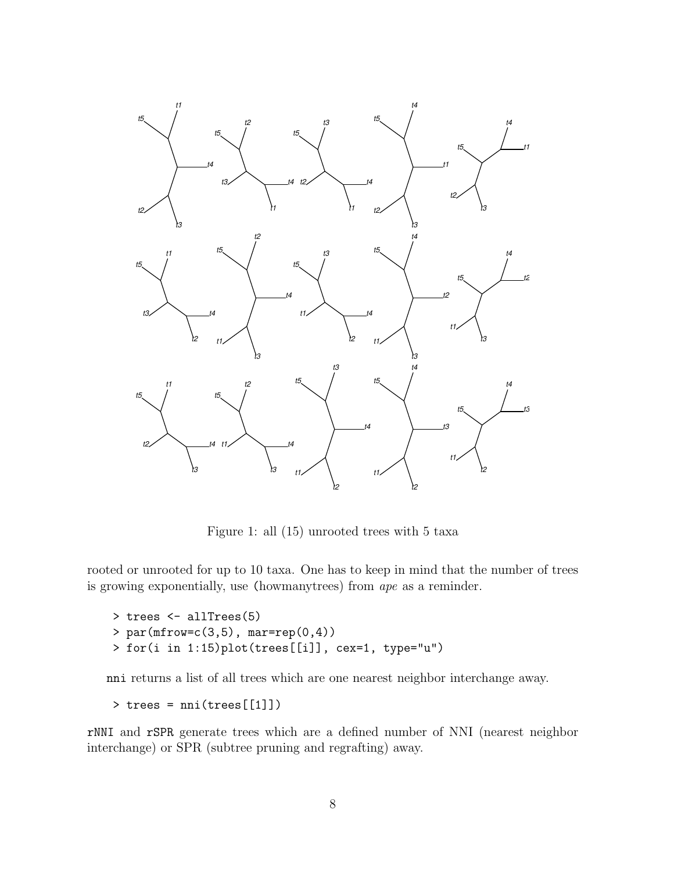

Figure 1: all (15) unrooted trees with 5 taxa

rooted or unrooted for up to 10 taxa. One has to keep in mind that the number of trees is growing exponentially, use (howmanytrees) from *ape* as a reminder.

```
> trees <- allTrees(5)
> par(mfrow=c(3,5), mar=rep(0,4))> for(i in 1:15)plot(trees[[i]], cex=1, type="u")
```
nni returns a list of all trees which are one nearest neighbor interchange away.

```
> trees = nni(trees[[1]])
```
rNNI and rSPR generate trees which are a defined number of NNI (nearest neighbor interchange) or SPR (subtree pruning and regrafting) away.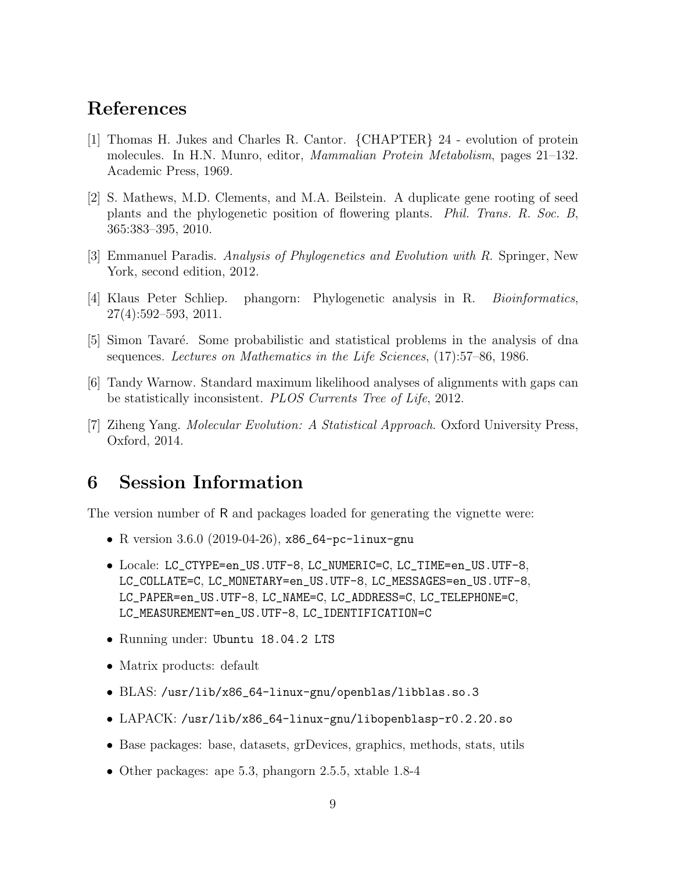## References

- [1] Thomas H. Jukes and Charles R. Cantor. {CHAPTER} 24 evolution of protein molecules. In H.N. Munro, editor, *Mammalian Protein Metabolism*, pages 21–132. Academic Press, 1969.
- [2] S. Mathews, M.D. Clements, and M.A. Beilstein. A duplicate gene rooting of seed plants and the phylogenetic position of flowering plants. *Phil. Trans. R. Soc. B*, 365:383–395, 2010.
- [3] Emmanuel Paradis. *Analysis of Phylogenetics and Evolution with R*. Springer, New York, second edition, 2012.
- [4] Klaus Peter Schliep. phangorn: Phylogenetic analysis in R. *Bioinformatics*, 27(4):592–593, 2011.
- [5] Simon Tavaré. Some probabilistic and statistical problems in the analysis of dna sequences. *Lectures on Mathematics in the Life Sciences*, (17):57–86, 1986.
- [6] Tandy Warnow. Standard maximum likelihood analyses of alignments with gaps can be statistically inconsistent. *PLOS Currents Tree of Life*, 2012.
- [7] Ziheng Yang. *Molecular Evolution: A Statistical Approach*. Oxford University Press, Oxford, 2014.

### 6 Session Information

The version number of R and packages loaded for generating the vignette were:

- R version 3.6.0 (2019-04-26), x86\_64-pc-linux-gnu
- Locale: LC\_CTYPE=en\_US.UTF-8, LC\_NUMERIC=C, LC\_TIME=en\_US.UTF-8, LC\_COLLATE=C, LC\_MONETARY=en\_US.UTF-8, LC\_MESSAGES=en\_US.UTF-8, LC\_PAPER=en\_US.UTF-8, LC\_NAME=C, LC\_ADDRESS=C, LC\_TELEPHONE=C, LC\_MEASUREMENT=en\_US.UTF-8, LC\_IDENTIFICATION=C
- Running under: Ubuntu 18.04.2 LTS
- Matrix products: default
- BLAS: /usr/lib/x86\_64-linux-gnu/openblas/libblas.so.3
- LAPACK: /usr/lib/x86\_64-linux-gnu/libopenblasp-r0.2.20.so
- Base packages: base, datasets, grDevices, graphics, methods, stats, utils
- Other packages: ape 5.3, phangorn 2.5.5, xtable 1.8-4